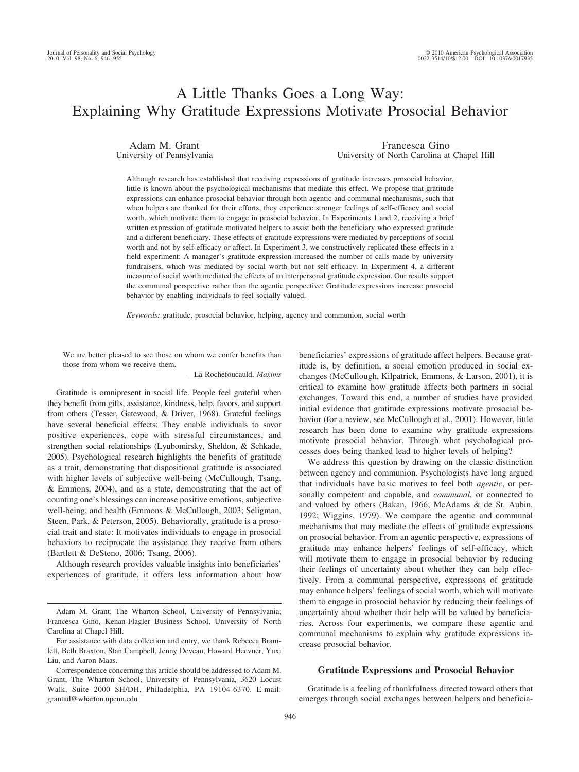# A Little Thanks Goes a Long Way: Explaining Why Gratitude Expressions Motivate Prosocial Behavior

Adam M. Grant University of Pennsylvania

Francesca Gino University of North Carolina at Chapel Hill

Although research has established that receiving expressions of gratitude increases prosocial behavior, little is known about the psychological mechanisms that mediate this effect. We propose that gratitude expressions can enhance prosocial behavior through both agentic and communal mechanisms, such that when helpers are thanked for their efforts, they experience stronger feelings of self-efficacy and social worth, which motivate them to engage in prosocial behavior. In Experiments 1 and 2, receiving a brief written expression of gratitude motivated helpers to assist both the beneficiary who expressed gratitude and a different beneficiary. These effects of gratitude expressions were mediated by perceptions of social worth and not by self-efficacy or affect. In Experiment 3, we constructively replicated these effects in a field experiment: A manager's gratitude expression increased the number of calls made by university fundraisers, which was mediated by social worth but not self-efficacy. In Experiment 4, a different measure of social worth mediated the effects of an interpersonal gratitude expression. Our results support the communal perspective rather than the agentic perspective: Gratitude expressions increase prosocial behavior by enabling individuals to feel socially valued.

*Keywords:* gratitude, prosocial behavior, helping, agency and communion, social worth

We are better pleased to see those on whom we confer benefits than those from whom we receive them.

—La Rochefoucauld, *Maxims*

Gratitude is omnipresent in social life. People feel grateful when they benefit from gifts, assistance, kindness, help, favors, and support from others (Tesser, Gatewood, & Driver, 1968). Grateful feelings have several beneficial effects: They enable individuals to savor positive experiences, cope with stressful circumstances, and strengthen social relationships (Lyubomirsky, Sheldon, & Schkade, 2005). Psychological research highlights the benefits of gratitude as a trait, demonstrating that dispositional gratitude is associated with higher levels of subjective well-being (McCullough, Tsang, & Emmons, 2004), and as a state, demonstrating that the act of counting one's blessings can increase positive emotions, subjective well-being, and health (Emmons & McCullough, 2003; Seligman, Steen, Park, & Peterson, 2005). Behaviorally, gratitude is a prosocial trait and state: It motivates individuals to engage in prosocial behaviors to reciprocate the assistance they receive from others (Bartlett & DeSteno, 2006; Tsang, 2006).

Although research provides valuable insights into beneficiaries' experiences of gratitude, it offers less information about how beneficiaries' expressions of gratitude affect helpers. Because gratitude is, by definition, a social emotion produced in social exchanges (McCullough, Kilpatrick, Emmons, & Larson, 2001), it is critical to examine how gratitude affects both partners in social exchanges. Toward this end, a number of studies have provided initial evidence that gratitude expressions motivate prosocial behavior (for a review, see McCullough et al., 2001). However, little research has been done to examine why gratitude expressions motivate prosocial behavior. Through what psychological processes does being thanked lead to higher levels of helping?

We address this question by drawing on the classic distinction between agency and communion. Psychologists have long argued that individuals have basic motives to feel both *agentic*, or personally competent and capable, and *communal*, or connected to and valued by others (Bakan, 1966; McAdams & de St. Aubin, 1992; Wiggins, 1979). We compare the agentic and communal mechanisms that may mediate the effects of gratitude expressions on prosocial behavior. From an agentic perspective, expressions of gratitude may enhance helpers' feelings of self-efficacy, which will motivate them to engage in prosocial behavior by reducing their feelings of uncertainty about whether they can help effectively. From a communal perspective, expressions of gratitude may enhance helpers' feelings of social worth, which will motivate them to engage in prosocial behavior by reducing their feelings of uncertainty about whether their help will be valued by beneficiaries. Across four experiments, we compare these agentic and communal mechanisms to explain why gratitude expressions increase prosocial behavior.

## **Gratitude Expressions and Prosocial Behavior**

Gratitude is a feeling of thankfulness directed toward others that emerges through social exchanges between helpers and beneficia-

Adam M. Grant, The Wharton School, University of Pennsylvania; Francesca Gino, Kenan-Flagler Business School, University of North Carolina at Chapel Hill.

For assistance with data collection and entry, we thank Rebecca Bramlett, Beth Braxton, Stan Campbell, Jenny Deveau, Howard Heevner, Yuxi Liu, and Aaron Maas.

Correspondence concerning this article should be addressed to Adam M. Grant, The Wharton School, University of Pennsylvania, 3620 Locust Walk, Suite 2000 SH/DH, Philadelphia, PA 19104-6370. E-mail: grantad@wharton.upenn.edu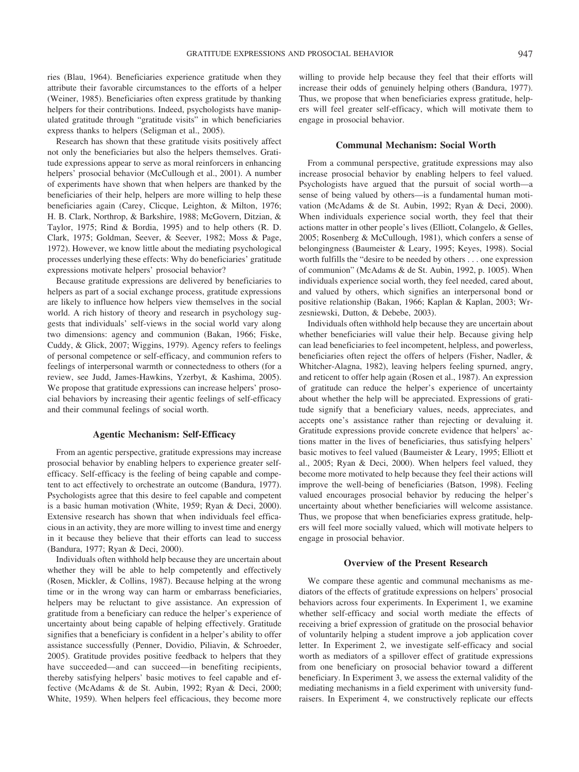ries (Blau, 1964). Beneficiaries experience gratitude when they attribute their favorable circumstances to the efforts of a helper (Weiner, 1985). Beneficiaries often express gratitude by thanking helpers for their contributions. Indeed, psychologists have manipulated gratitude through "gratitude visits" in which beneficiaries express thanks to helpers (Seligman et al., 2005).

Research has shown that these gratitude visits positively affect not only the beneficiaries but also the helpers themselves. Gratitude expressions appear to serve as moral reinforcers in enhancing helpers' prosocial behavior (McCullough et al., 2001). A number of experiments have shown that when helpers are thanked by the beneficiaries of their help, helpers are more willing to help these beneficiaries again (Carey, Clicque, Leighton, & Milton, 1976; H. B. Clark, Northrop, & Barkshire, 1988; McGovern, Ditzian, & Taylor, 1975; Rind & Bordia, 1995) and to help others (R. D. Clark, 1975; Goldman, Seever, & Seever, 1982; Moss & Page, 1972). However, we know little about the mediating psychological processes underlying these effects: Why do beneficiaries' gratitude expressions motivate helpers' prosocial behavior?

Because gratitude expressions are delivered by beneficiaries to helpers as part of a social exchange process, gratitude expressions are likely to influence how helpers view themselves in the social world. A rich history of theory and research in psychology suggests that individuals' self-views in the social world vary along two dimensions: agency and communion (Bakan, 1966; Fiske, Cuddy, & Glick, 2007; Wiggins, 1979). Agency refers to feelings of personal competence or self-efficacy, and communion refers to feelings of interpersonal warmth or connectedness to others (for a review, see Judd, James-Hawkins, Yzerbyt, & Kashima, 2005). We propose that gratitude expressions can increase helpers' prosocial behaviors by increasing their agentic feelings of self-efficacy and their communal feelings of social worth.

#### **Agentic Mechanism: Self-Efficacy**

From an agentic perspective, gratitude expressions may increase prosocial behavior by enabling helpers to experience greater selfefficacy. Self-efficacy is the feeling of being capable and competent to act effectively to orchestrate an outcome (Bandura, 1977). Psychologists agree that this desire to feel capable and competent is a basic human motivation (White, 1959; Ryan & Deci, 2000). Extensive research has shown that when individuals feel efficacious in an activity, they are more willing to invest time and energy in it because they believe that their efforts can lead to success (Bandura, 1977; Ryan & Deci, 2000).

Individuals often withhold help because they are uncertain about whether they will be able to help competently and effectively (Rosen, Mickler, & Collins, 1987). Because helping at the wrong time or in the wrong way can harm or embarrass beneficiaries, helpers may be reluctant to give assistance. An expression of gratitude from a beneficiary can reduce the helper's experience of uncertainty about being capable of helping effectively. Gratitude signifies that a beneficiary is confident in a helper's ability to offer assistance successfully (Penner, Dovidio, Piliavin, & Schroeder, 2005). Gratitude provides positive feedback to helpers that they have succeeded—and can succeed—in benefiting recipients, thereby satisfying helpers' basic motives to feel capable and effective (McAdams & de St. Aubin, 1992; Ryan & Deci, 2000; White, 1959). When helpers feel efficacious, they become more

willing to provide help because they feel that their efforts will increase their odds of genuinely helping others (Bandura, 1977). Thus, we propose that when beneficiaries express gratitude, helpers will feel greater self-efficacy, which will motivate them to engage in prosocial behavior.

## **Communal Mechanism: Social Worth**

From a communal perspective, gratitude expressions may also increase prosocial behavior by enabling helpers to feel valued. Psychologists have argued that the pursuit of social worth—a sense of being valued by others—is a fundamental human motivation (McAdams & de St. Aubin, 1992; Ryan & Deci, 2000). When individuals experience social worth, they feel that their actions matter in other people's lives (Elliott, Colangelo, & Gelles, 2005; Rosenberg & McCullough, 1981), which confers a sense of belongingness (Baumeister & Leary, 1995; Keyes, 1998). Social worth fulfills the "desire to be needed by others . . . one expression of communion" (McAdams & de St. Aubin, 1992, p. 1005). When individuals experience social worth, they feel needed, cared about, and valued by others, which signifies an interpersonal bond or positive relationship (Bakan, 1966; Kaplan & Kaplan, 2003; Wrzesniewski, Dutton, & Debebe, 2003).

Individuals often withhold help because they are uncertain about whether beneficiaries will value their help. Because giving help can lead beneficiaries to feel incompetent, helpless, and powerless, beneficiaries often reject the offers of helpers (Fisher, Nadler, & Whitcher-Alagna, 1982), leaving helpers feeling spurned, angry, and reticent to offer help again (Rosen et al., 1987). An expression of gratitude can reduce the helper's experience of uncertainty about whether the help will be appreciated. Expressions of gratitude signify that a beneficiary values, needs, appreciates, and accepts one's assistance rather than rejecting or devaluing it. Gratitude expressions provide concrete evidence that helpers' actions matter in the lives of beneficiaries, thus satisfying helpers' basic motives to feel valued (Baumeister & Leary, 1995; Elliott et al., 2005; Ryan & Deci, 2000). When helpers feel valued, they become more motivated to help because they feel their actions will improve the well-being of beneficiaries (Batson, 1998). Feeling valued encourages prosocial behavior by reducing the helper's uncertainty about whether beneficiaries will welcome assistance. Thus, we propose that when beneficiaries express gratitude, helpers will feel more socially valued, which will motivate helpers to engage in prosocial behavior.

#### **Overview of the Present Research**

We compare these agentic and communal mechanisms as mediators of the effects of gratitude expressions on helpers' prosocial behaviors across four experiments. In Experiment 1, we examine whether self-efficacy and social worth mediate the effects of receiving a brief expression of gratitude on the prosocial behavior of voluntarily helping a student improve a job application cover letter. In Experiment 2, we investigate self-efficacy and social worth as mediators of a spillover effect of gratitude expressions from one beneficiary on prosocial behavior toward a different beneficiary. In Experiment 3, we assess the external validity of the mediating mechanisms in a field experiment with university fundraisers. In Experiment 4, we constructively replicate our effects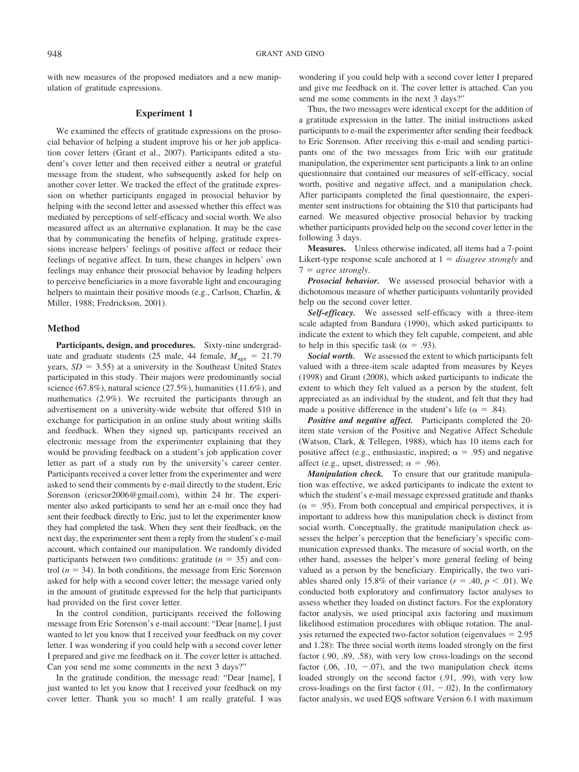with new measures of the proposed mediators and a new manipulation of gratitude expressions.

#### **Experiment 1**

We examined the effects of gratitude expressions on the prosocial behavior of helping a student improve his or her job application cover letters (Grant et al., 2007). Participants edited a student's cover letter and then received either a neutral or grateful message from the student, who subsequently asked for help on another cover letter. We tracked the effect of the gratitude expression on whether participants engaged in prosocial behavior by helping with the second letter and assessed whether this effect was mediated by perceptions of self-efficacy and social worth. We also measured affect as an alternative explanation. It may be the case that by communicating the benefits of helping, gratitude expressions increase helpers' feelings of positive affect or reduce their feelings of negative affect. In turn, these changes in helpers' own feelings may enhance their prosocial behavior by leading helpers to perceive beneficiaries in a more favorable light and encouraging helpers to maintain their positive moods (e.g., Carlson, Charlin, & Miller, 1988; Fredrickson, 2001).

#### **Method**

**Participants, design, and procedures.** Sixty-nine undergraduate and graduate students (25 male, 44 female,  $M_{\text{age}} = 21.79$ years,  $SD = 3.55$ ) at a university in the Southeast United States participated in this study. Their majors were predominantly social science (67.8%), natural science (27.5%), humanities (11.6%), and mathematics (2.9%). We recruited the participants through an advertisement on a university-wide website that offered \$10 in exchange for participation in an online study about writing skills and feedback. When they signed up, participants received an electronic message from the experimenter explaining that they would be providing feedback on a student's job application cover letter as part of a study run by the university's career center. Participants received a cover letter from the experimenter and were asked to send their comments by e-mail directly to the student, Eric Sorenson (ericsor2006@gmail.com), within 24 hr. The experimenter also asked participants to send her an e-mail once they had sent their feedback directly to Eric, just to let the experimenter know they had completed the task. When they sent their feedback, on the next day, the experimenter sent them a reply from the student's e-mail account, which contained our manipulation. We randomly divided participants between two conditions: gratitude  $(n = 35)$  and control  $(n = 34)$ . In both conditions, the message from Eric Sorenson asked for help with a second cover letter; the message varied only in the amount of gratitude expressed for the help that participants had provided on the first cover letter.

In the control condition, participants received the following message from Eric Sorenson's e-mail account: "Dear [name], I just wanted to let you know that I received your feedback on my cover letter. I was wondering if you could help with a second cover letter I prepared and give me feedback on it. The cover letter is attached. Can you send me some comments in the next 3 days?"

In the gratitude condition, the message read: "Dear [name], I just wanted to let you know that I received your feedback on my cover letter. Thank you so much! I am really grateful. I was wondering if you could help with a second cover letter I prepared and give me feedback on it. The cover letter is attached. Can you send me some comments in the next 3 days?"

Thus, the two messages were identical except for the addition of a gratitude expression in the latter. The initial instructions asked participants to e-mail the experimenter after sending their feedback to Eric Sorenson. After receiving this e-mail and sending participants one of the two messages from Eric with our gratitude manipulation, the experimenter sent participants a link to an online questionnaire that contained our measures of self-efficacy, social worth, positive and negative affect, and a manipulation check. After participants completed the final questionnaire, the experimenter sent instructions for obtaining the \$10 that participants had earned. We measured objective prosocial behavior by tracking whether participants provided help on the second cover letter in the following 3 days.

**Measures.** Unless otherwise indicated, all items had a 7-point Likert-type response scale anchored at  $1 = \text{disagree strongly}$  and  $7 = agree strongly.$ 

*Prosocial behavior.* We assessed prosocial behavior with a dichotomous measure of whether participants voluntarily provided help on the second cover letter.

*Self-efficacy.* We assessed self-efficacy with a three-item scale adapted from Bandura (1990), which asked participants to indicate the extent to which they felt capable, competent, and able to help in this specific task ( $\alpha = .93$ ).

*Social worth.* We assessed the extent to which participants felt valued with a three-item scale adapted from measures by Keyes (1998) and Grant (2008), which asked participants to indicate the extent to which they felt valued as a person by the student, felt appreciated as an individual by the student, and felt that they had made a positive difference in the student's life ( $\alpha = .84$ ).

*Positive and negative affect.* Participants completed the 20 item state version of the Positive and Negative Affect Schedule (Watson, Clark, & Tellegen, 1988), which has 10 items each for positive affect (e.g., enthusiastic, inspired;  $\alpha = .95$ ) and negative affect (e.g., upset, distressed;  $\alpha = .96$ ).

*Manipulation check.* To ensure that our gratitude manipulation was effective, we asked participants to indicate the extent to which the student's e-mail message expressed gratitude and thanks  $(\alpha = .95)$ . From both conceptual and empirical perspectives, it is important to address how this manipulation check is distinct from social worth. Conceptually, the gratitude manipulation check assesses the helper's perception that the beneficiary's specific communication expressed thanks. The measure of social worth, on the other hand, assesses the helper's more general feeling of being valued as a person by the beneficiary. Empirically, the two variables shared only 15.8% of their variance  $(r = .40, p < .01)$ . We conducted both exploratory and confirmatory factor analyses to assess whether they loaded on distinct factors. For the exploratory factor analysis, we used principal axis factoring and maximum likelihood estimation procedures with oblique rotation. The analysis returned the expected two-factor solution (eigenvalues  $= 2.95$ ) and 1.28): The three social worth items loaded strongly on the first factor (.90, .89, .58), with very low cross-loadings on the second factor  $(.06, .10, -.07)$ , and the two manipulation check items loaded strongly on the second factor (.91, .99), with very low cross-loadings on the first factor  $(.01, -.02)$ . In the confirmatory factor analysis, we used EQS software Version 6.1 with maximum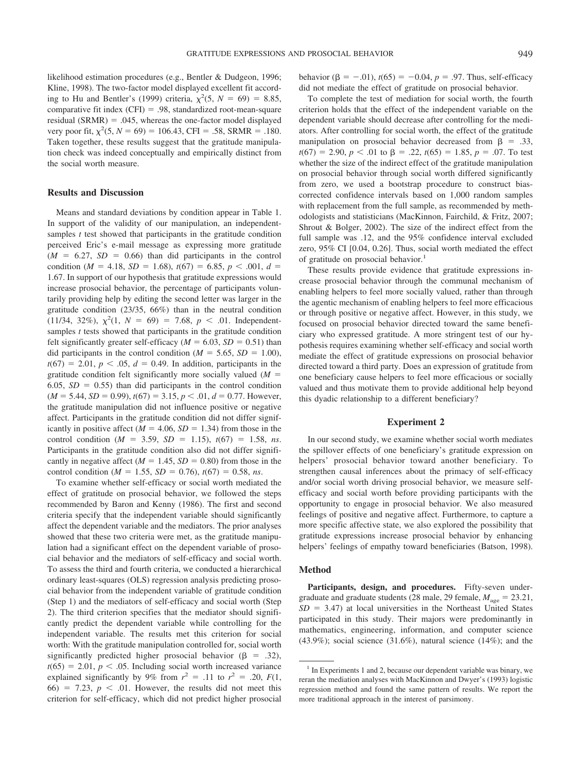likelihood estimation procedures (e.g., Bentler & Dudgeon, 1996; Kline, 1998). The two-factor model displayed excellent fit according to Hu and Bentler's (1999) criteria,  $\chi^2$ (5, *N* = 69) = 8.85, comparative fit index  $(CFI) = .98$ , standardized root-mean-square residual (SRMR)  $= .045$ , whereas the one-factor model displayed very poor fit,  $\chi^2$ (5, *N* = 69) = 106.43, CFI = .58, SRMR = .180. Taken together, these results suggest that the gratitude manipulation check was indeed conceptually and empirically distinct from the social worth measure.

#### **Results and Discussion**

Means and standard deviations by condition appear in Table 1. In support of the validity of our manipulation, an independentsamples *t* test showed that participants in the gratitude condition perceived Eric's e-mail message as expressing more gratitude  $(M = 6.27, SD = 0.66)$  than did participants in the control condition ( $M = 4.18$ ,  $SD = 1.68$ ),  $t(67) = 6.85$ ,  $p < .001$ ,  $d =$ 1.67. In support of our hypothesis that gratitude expressions would increase prosocial behavior, the percentage of participants voluntarily providing help by editing the second letter was larger in the gratitude condition (23/35, 66%) than in the neutral condition  $(11/34, 32\%), \chi^2(1, N = 69) = 7.68, p < .01.$  Independentsamples *t* tests showed that participants in the gratitude condition felt significantly greater self-efficacy ( $M = 6.03$ ,  $SD = 0.51$ ) than did participants in the control condition ( $M = 5.65$ ,  $SD = 1.00$ ),  $t(67) = 2.01, p < .05, d = 0.49$ . In addition, participants in the gratitude condition felt significantly more socially valued (*M* 6.05,  $SD = 0.55$ ) than did participants in the control condition  $(M = 5.44, SD = 0.99), t(67) = 3.15, p < .01, d = 0.77.$  However, the gratitude manipulation did not influence positive or negative affect. Participants in the gratitude condition did not differ significantly in positive affect  $(M = 4.06, SD = 1.34)$  from those in the control condition ( $M = 3.59$ ,  $SD = 1.15$ ),  $t(67) = 1.58$ , *ns*. Participants in the gratitude condition also did not differ significantly in negative affect ( $M = 1.45$ ,  $SD = 0.80$ ) from those in the control condition ( $M = 1.55$ ,  $SD = 0.76$ ),  $t(67) = 0.58$ , *ns*.

To examine whether self-efficacy or social worth mediated the effect of gratitude on prosocial behavior, we followed the steps recommended by Baron and Kenny (1986). The first and second criteria specify that the independent variable should significantly affect the dependent variable and the mediators. The prior analyses showed that these two criteria were met, as the gratitude manipulation had a significant effect on the dependent variable of prosocial behavior and the mediators of self-efficacy and social worth. To assess the third and fourth criteria, we conducted a hierarchical ordinary least-squares (OLS) regression analysis predicting prosocial behavior from the independent variable of gratitude condition (Step 1) and the mediators of self-efficacy and social worth (Step 2). The third criterion specifies that the mediator should significantly predict the dependent variable while controlling for the independent variable. The results met this criterion for social worth: With the gratitude manipulation controlled for, social worth significantly predicted higher prosocial behavior ( $\beta = .32$ ),  $t(65) = 2.01, p < .05$ . Including social worth increased variance explained significantly by 9% from  $r^2 = .11$  to  $r^2 = .20$ ,  $F(1, 1)$  $66$ ) = 7.23,  $p < .01$ . However, the results did not meet this criterion for self-efficacy, which did not predict higher prosocial behavior  $(\beta = -.01)$ ,  $t(65) = -0.04$ ,  $p = .97$ . Thus, self-efficacy did not mediate the effect of gratitude on prosocial behavior.

To complete the test of mediation for social worth, the fourth criterion holds that the effect of the independent variable on the dependent variable should decrease after controlling for the mediators. After controlling for social worth, the effect of the gratitude manipulation on prosocial behavior decreased from  $\beta = .33$ ,  $t(67) = 2.90, p < .01$  to  $\beta = .22, t(65) = 1.85, p = .07$ . To test whether the size of the indirect effect of the gratitude manipulation on prosocial behavior through social worth differed significantly from zero, we used a bootstrap procedure to construct biascorrected confidence intervals based on 1,000 random samples with replacement from the full sample, as recommended by methodologists and statisticians (MacKinnon, Fairchild, & Fritz, 2007; Shrout & Bolger, 2002). The size of the indirect effect from the full sample was .12, and the 95% confidence interval excluded zero, 95% CI [0.04, 0.26]. Thus, social worth mediated the effect of gratitude on prosocial behavior.<sup>1</sup>

These results provide evidence that gratitude expressions increase prosocial behavior through the communal mechanism of enabling helpers to feel more socially valued, rather than through the agentic mechanism of enabling helpers to feel more efficacious or through positive or negative affect. However, in this study, we focused on prosocial behavior directed toward the same beneficiary who expressed gratitude. A more stringent test of our hypothesis requires examining whether self-efficacy and social worth mediate the effect of gratitude expressions on prosocial behavior directed toward a third party. Does an expression of gratitude from one beneficiary cause helpers to feel more efficacious or socially valued and thus motivate them to provide additional help beyond this dyadic relationship to a different beneficiary?

## **Experiment 2**

In our second study, we examine whether social worth mediates the spillover effects of one beneficiary's gratitude expression on helpers' prosocial behavior toward another beneficiary. To strengthen causal inferences about the primacy of self-efficacy and/or social worth driving prosocial behavior, we measure selfefficacy and social worth before providing participants with the opportunity to engage in prosocial behavior. We also measured feelings of positive and negative affect. Furthermore, to capture a more specific affective state, we also explored the possibility that gratitude expressions increase prosocial behavior by enhancing helpers' feelings of empathy toward beneficiaries (Batson, 1998).

#### **Method**

Participants, design, and procedures. Fifty-seven undergraduate and graduate students (28 male, 29 female,  $M_{\text{age}} = 23.21$ ,  $SD = 3.47$ ) at local universities in the Northeast United States participated in this study. Their majors were predominantly in mathematics, engineering, information, and computer science  $(43.9\%)$ ; social science  $(31.6\%)$ , natural science  $(14\%)$ ; and the

<sup>&</sup>lt;sup>1</sup> In Experiments 1 and 2, because our dependent variable was binary, we reran the mediation analyses with MacKinnon and Dwyer's (1993) logistic regression method and found the same pattern of results. We report the more traditional approach in the interest of parsimony.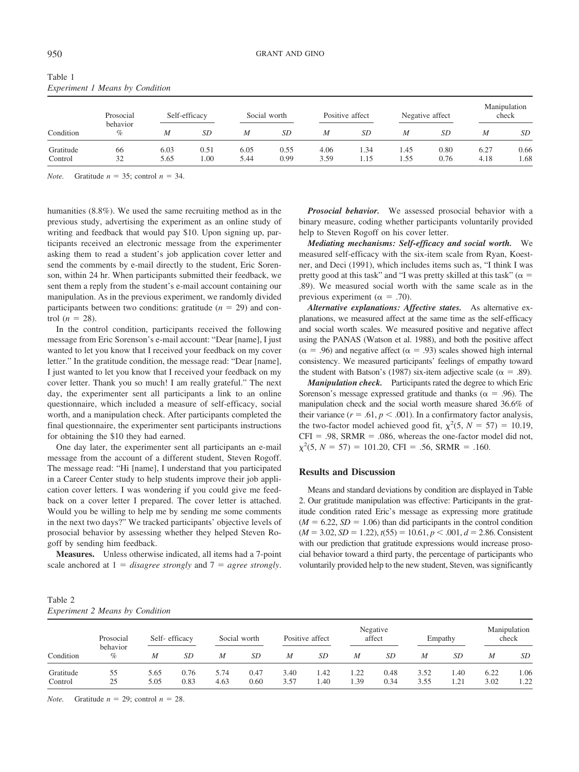| Condition            | $E_{\nu}$<br>Prosocial<br>behavior<br>$\%$ |              | Self-efficacy | Social worth |              | Positive affect |              | Negative affect |              | Manipulation<br>check |              |
|----------------------|--------------------------------------------|--------------|---------------|--------------|--------------|-----------------|--------------|-----------------|--------------|-----------------------|--------------|
|                      |                                            | M            | SD            | M            | SD           | M               | SD           | M               | SD.          | M                     | SD           |
| Gratitude<br>Control | 66<br>32                                   | 6.03<br>5.65 | 0.51<br>1.00  | 6.05<br>5.44 | 0.55<br>0.99 | 4.06<br>3.59    | 1.34<br>1.15 | 1.45<br>1.55    | 0.80<br>0.76 | 6.27<br>4.18          | 0.66<br>1.68 |

Table 1 *Experiment 1 Means by Condition*

*Note.* Gratitude  $n = 35$ ; control  $n = 34$ .

humanities (8.8%). We used the same recruiting method as in the previous study, advertising the experiment as an online study of writing and feedback that would pay \$10. Upon signing up, participants received an electronic message from the experimenter asking them to read a student's job application cover letter and send the comments by e-mail directly to the student, Eric Sorenson, within 24 hr. When participants submitted their feedback, we sent them a reply from the student's e-mail account containing our manipulation. As in the previous experiment, we randomly divided participants between two conditions: gratitude  $(n = 29)$  and control  $(n = 28)$ .

In the control condition, participants received the following message from Eric Sorenson's e-mail account: "Dear [name], I just wanted to let you know that I received your feedback on my cover letter." In the gratitude condition, the message read: "Dear [name], I just wanted to let you know that I received your feedback on my cover letter. Thank you so much! I am really grateful." The next day, the experimenter sent all participants a link to an online questionnaire, which included a measure of self-efficacy, social worth, and a manipulation check. After participants completed the final questionnaire, the experimenter sent participants instructions for obtaining the \$10 they had earned.

One day later, the experimenter sent all participants an e-mail message from the account of a different student, Steven Rogoff. The message read: "Hi [name], I understand that you participated in a Career Center study to help students improve their job application cover letters. I was wondering if you could give me feedback on a cover letter I prepared. The cover letter is attached. Would you be willing to help me by sending me some comments in the next two days?" We tracked participants' objective levels of prosocial behavior by assessing whether they helped Steven Rogoff by sending him feedback.

**Measures.** Unless otherwise indicated, all items had a 7-point scale anchored at  $1 = disagree$  *strongly* and  $7 = agree$  *strongly*.

*Prosocial behavior.* We assessed prosocial behavior with a binary measure, coding whether participants voluntarily provided help to Steven Rogoff on his cover letter.

*Mediating mechanisms: Self-efficacy and social worth.* We measured self-efficacy with the six-item scale from Ryan, Koestner, and Deci (1991), which includes items such as, "I think I was pretty good at this task" and "I was pretty skilled at this task" ( $\alpha$  = .89). We measured social worth with the same scale as in the previous experiment ( $\alpha = .70$ ).

*Alternative explanations: Affective states.* As alternative explanations, we measured affect at the same time as the self-efficacy and social worth scales. We measured positive and negative affect using the PANAS (Watson et al. 1988), and both the positive affect  $(\alpha = .96)$  and negative affect ( $\alpha = .93$ ) scales showed high internal consistency. We measured participants' feelings of empathy toward the student with Batson's (1987) six-item adjective scale ( $\alpha = .89$ ).

*Manipulation check.* Participants rated the degree to which Eric Sorenson's message expressed gratitude and thanks ( $\alpha = .96$ ). The manipulation check and the social worth measure shared 36.6% of their variance ( $r = .61$ ,  $p < .001$ ). In a confirmatory factor analysis, the two-factor model achieved good fit,  $\chi^2$ (5, *N* = 57) = 10.19,  $CFI = .98$ ,  $SRMR = .086$ , whereas the one-factor model did not,  $\chi^2$ (5, *N* = 57) = 101.20, CFI = .56, SRMR = .160.

## **Results and Discussion**

Means and standard deviations by condition are displayed in Table 2. Our gratitude manipulation was effective: Participants in the gratitude condition rated Eric's message as expressing more gratitude  $(M = 6.22, SD = 1.06)$  than did participants in the control condition  $(M = 3.02, SD = 1.22), t(55) = 10.61, p < .001, d = 2.86$ . Consistent with our prediction that gratitude expressions would increase prosocial behavior toward a third party, the percentage of participants who voluntarily provided help to the new student, Steven, was significantly

| Table 2                                |  |  |
|----------------------------------------|--|--|
| <b>Experiment 2 Means by Condition</b> |  |  |

| Condition            | Prosocial<br>behavior<br>$\%$ | Self-efficacy |              |              | Social worth |              | Positive affect |              | Negative<br>affect |              | Empathy     |              | Manipulation<br>check |  |
|----------------------|-------------------------------|---------------|--------------|--------------|--------------|--------------|-----------------|--------------|--------------------|--------------|-------------|--------------|-----------------------|--|
|                      |                               | M             | SD           | M            | SD           | M            | SD              | M            | SD                 | M            | SD          | M            | SD                    |  |
| Gratitude<br>Control | 55<br>25                      | 5.65<br>5.05  | 0.76<br>0.83 | 5.74<br>4.63 | 0.47<br>0.60 | 3.40<br>3.57 | 1.42<br>1.40    | 1.22<br>1.39 | 0.48<br>0.34       | 3.52<br>3.55 | .40<br>1.21 | 6.22<br>3.02 | 1.06<br>1.22          |  |

*Note.* Gratitude  $n = 29$ ; control  $n = 28$ .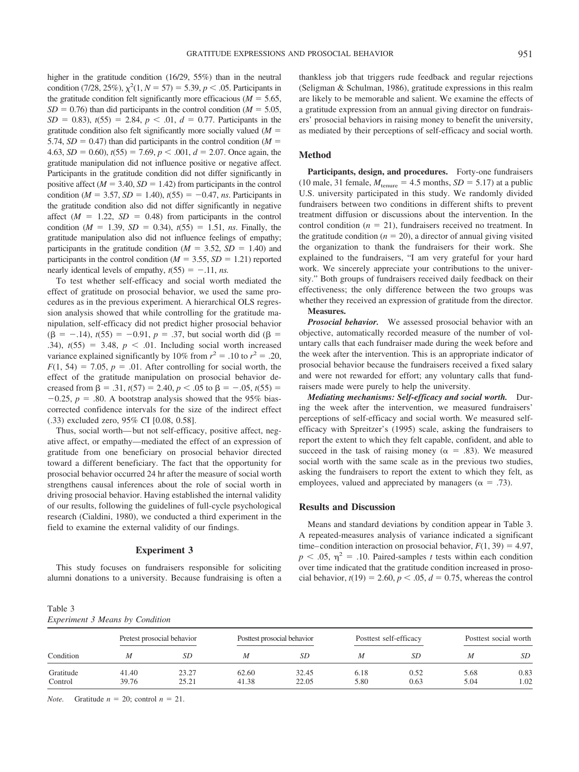higher in the gratitude condition (16/29, 55%) than in the neutral condition (7/28, 25%),  $\chi^2(1, N = 57) = 5.39, p < .05$ . Participants in the gratitude condition felt significantly more efficacious ( $M = 5.65$ ,  $SD = 0.76$ ) than did participants in the control condition ( $M = 5.05$ ,  $SD = 0.83$ ,  $t(55) = 2.84$ ,  $p < .01$ ,  $d = 0.77$ . Participants in the gratitude condition also felt significantly more socially valued (*M* 5.74,  $SD = 0.47$ ) than did participants in the control condition ( $M =$ 4.63, *SD* = 0.60),  $t(55) = 7.69$ ,  $p < .001$ ,  $d = 2.07$ . Once again, the gratitude manipulation did not influence positive or negative affect. Participants in the gratitude condition did not differ significantly in positive affect ( $M = 3.40$ ,  $SD = 1.42$ ) from participants in the control condition ( $M = 3.57$ ,  $SD = 1.40$ ),  $t(55) = -0.47$ , *ns*. Participants in the gratitude condition also did not differ significantly in negative affect  $(M = 1.22, SD = 0.48)$  from participants in the control condition ( $M = 1.39$ ,  $SD = 0.34$ ),  $t(55) = 1.51$ , *ns*. Finally, the gratitude manipulation also did not influence feelings of empathy; participants in the gratitude condition ( $M = 3.52$ ,  $SD = 1.40$ ) and participants in the control condition ( $M = 3.55$ ,  $SD = 1.21$ ) reported nearly identical levels of empathy,  $t(55) = -.11$ , *ns.* 

To test whether self-efficacy and social worth mediated the effect of gratitude on prosocial behavior, we used the same procedures as in the previous experiment. A hierarchical OLS regression analysis showed that while controlling for the gratitude manipulation, self-efficacy did not predict higher prosocial behavior  $( \beta = -0.14)$ ,  $t(55) = -0.91$ ,  $p = 0.37$ , but social worth did ( $\beta =$ .34),  $t(55) = 3.48$ ,  $p < .01$ . Including social worth increased variance explained significantly by 10% from  $r^2 = .10$  to  $r^2 = .20$ ,  $F(1, 54) = 7.05$ ,  $p = .01$ . After controlling for social worth, the effect of the gratitude manipulation on prosocial behavior decreased from  $\beta$  = .31,  $t(57)$  = 2.40,  $p < .05$  to  $\beta$  = -.05,  $t(55)$  =  $-0.25$ ,  $p = .80$ . A bootstrap analysis showed that the 95% biascorrected confidence intervals for the size of the indirect effect (.33) excluded zero, 95% CI [0.08, 0.58].

Thus, social worth— but not self-efficacy, positive affect, negative affect, or empathy—mediated the effect of an expression of gratitude from one beneficiary on prosocial behavior directed toward a different beneficiary. The fact that the opportunity for prosocial behavior occurred 24 hr after the measure of social worth strengthens causal inferences about the role of social worth in driving prosocial behavior. Having established the internal validity of our results, following the guidelines of full-cycle psychological research (Cialdini, 1980), we conducted a third experiment in the field to examine the external validity of our findings.

#### **Experiment 3**

This study focuses on fundraisers responsible for soliciting alumni donations to a university. Because fundraising is often a

Table 3 *Experiment 3 Means by Condition*

thankless job that triggers rude feedback and regular rejections (Seligman & Schulman, 1986), gratitude expressions in this realm are likely to be memorable and salient. We examine the effects of a gratitude expression from an annual giving director on fundraisers' prosocial behaviors in raising money to benefit the university, as mediated by their perceptions of self-efficacy and social worth.

## **Method**

Participants, design, and procedures. Forty-one fundraisers (10 male, 31 female,  $M_{\text{tenure}} = 4.5$  months,  $SD = 5.17$ ) at a public U.S. university participated in this study. We randomly divided fundraisers between two conditions in different shifts to prevent treatment diffusion or discussions about the intervention. In the control condition  $(n = 21)$ , fundraisers received no treatment. In the gratitude condition ( $n = 20$ ), a director of annual giving visited the organization to thank the fundraisers for their work. She explained to the fundraisers, "I am very grateful for your hard work. We sincerely appreciate your contributions to the university." Both groups of fundraisers received daily feedback on their effectiveness; the only difference between the two groups was whether they received an expression of gratitude from the director. **Measures.**

*Prosocial behavior.* We assessed prosocial behavior with an objective, automatically recorded measure of the number of voluntary calls that each fundraiser made during the week before and the week after the intervention. This is an appropriate indicator of prosocial behavior because the fundraisers received a fixed salary and were not rewarded for effort; any voluntary calls that fundraisers made were purely to help the university.

*Mediating mechanisms: Self-efficacy and social worth.* During the week after the intervention, we measured fundraisers' perceptions of self-efficacy and social worth. We measured selfefficacy with Spreitzer's (1995) scale, asking the fundraisers to report the extent to which they felt capable, confident, and able to succeed in the task of raising money ( $\alpha = .83$ ). We measured social worth with the same scale as in the previous two studies, asking the fundraisers to report the extent to which they felt, as employees, valued and appreciated by managers ( $\alpha = .73$ ).

#### **Results and Discussion**

Means and standard deviations by condition appear in Table 3. A repeated-measures analysis of variance indicated a significant time–condition interaction on prosocial behavior,  $F(1, 39) = 4.97$ ,  $p < .05$ ,  $\eta^2 = .10$ . Paired-samples *t* tests within each condition over time indicated that the gratitude condition increased in prosocial behavior,  $t(19) = 2.60, p < .05, d = 0.75$ , whereas the control

| Condition            | Pretest prosocial behavior |                |                | Posttest prosocial behavior |              | Posttest self-efficacy | Posttest social worth |              |
|----------------------|----------------------------|----------------|----------------|-----------------------------|--------------|------------------------|-----------------------|--------------|
|                      | М                          | SD             | M              | SD                          | M            | SD                     | M                     | SD           |
| Gratitude<br>Control | 41.40<br>39.76             | 23.27<br>25.21 | 62.60<br>41.38 | 32.45<br>22.05              | 6.18<br>5.80 | 0.52<br>0.63           | 5.68<br>5.04          | 0.83<br>1.02 |

*Note.* Gratitude  $n = 20$ ; control  $n = 21$ .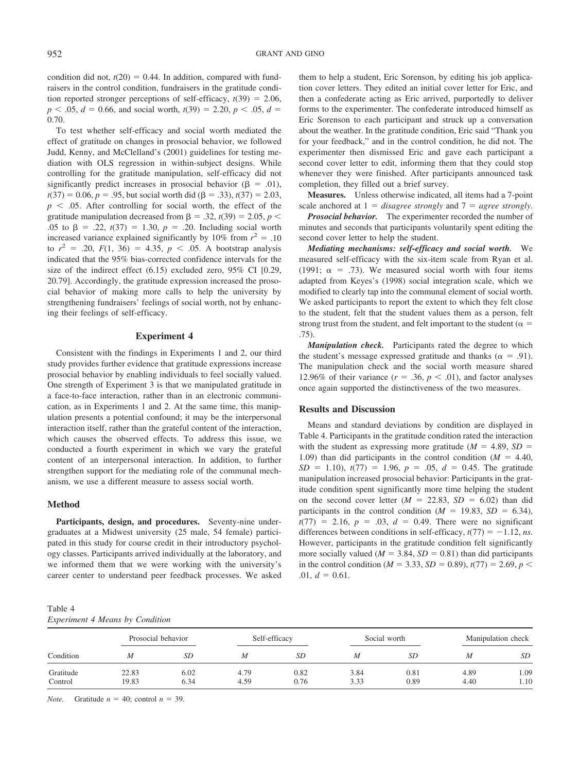condition did not,  $t(20) = 0.44$ . In addition, compared with fundraisers in the control condition, fundraisers in the gratitude condition reported stronger perceptions of self-efficacy,  $t(39) = 2.06$ ,  $p$  < .05, *d* = 0.66, and social worth,  $t(39) = 2.20, p$  < .05, *d* = 0.70.

To test whether self-efficacy and social worth mediated the effect of gratitude on changes in prosocial behavior, we followed Judd, Kenny, and McClelland's (2001) guidelines for testing mediation with OLS regression in within-subject designs. While controlling for the gratitude manipulation, self-efficacy did not significantly predict increases in prosocial behavior ( $\beta = .01$ ),  $t(37) = 0.06$ ,  $p = .95$ , but social worth did ( $\beta = .33$ ),  $t(37) = 2.03$ ,  $p \leq 0.05$ . After controlling for social worth, the effect of the gratitude manipulation decreased from  $\beta$  = .32, *t*(39) = 2.05, *p* < .05 to  $\beta$  = .22,  $t(37)$  = 1.30,  $p$  = .20. Including social worth increased variance explained significantly by 10% from  $r^2 = .10$ to  $r^2 = .20$ ,  $F(1, 36) = 4.35$ ,  $p < .05$ . A bootstrap analysis indicated that the 95% bias-corrected confidence intervals for the size of the indirect effect (6.15) excluded zero, 95% CI [0.29, 20.79]. Accordingly, the gratitude expression increased the prosocial behavior of making more calls to help the university by strengthening fundraisers' feelings of social worth, not by enhancing their feelings of self-efficacy.

#### **Experiment 4**

Consistent with the findings in Experiments 1 and 2, our third study provides further evidence that gratitude expressions increase prosocial behavior by enabling individuals to feel socially valued. One strength of Experiment 3 is that we manipulated gratitude in a face-to-face interaction, rather than in an electronic communication, as in Experiments 1 and 2. At the same time, this manipulation presents a potential confound; it may be the interpersonal interaction itself, rather than the grateful content of the interaction, which causes the observed effects. To address this issue, we conducted a fourth experiment in which we vary the grateful content of an interpersonal interaction. In addition, to further strengthen support for the mediating role of the communal mechanism, we use a different measure to assess social worth.

## **Method**

**Participants, design, and procedures.** Seventy-nine undergraduates at a Midwest university (25 male, 54 female) participated in this study for course credit in their introductory psychology classes. Participants arrived individually at the laboratory, and we informed them that we were working with the university's career center to understand peer feedback processes. We asked them to help a student, Eric Sorenson, by editing his job application cover letters. They edited an initial cover letter for Eric, and then a confederate acting as Eric arrived, purportedly to deliver forms to the experimenter. The confederate introduced himself as Eric Sorenson to each participant and struck up a conversation about the weather. In the gratitude condition, Eric said "Thank you for your feedback," and in the control condition, he did not. The experimenter then dismissed Eric and gave each participant a second cover letter to edit, informing them that they could stop whenever they were finished. After participants announced task completion, they filled out a brief survey.

**Measures.** Unless otherwise indicated, all items had a 7-point scale anchored at  $1 = \text{disagree strongly}$  and  $7 = \text{agree strongly}$ .

*Prosocial behavior.* The experimenter recorded the number of minutes and seconds that participants voluntarily spent editing the second cover letter to help the student.

*Mediating mechanisms: self-efficacy and social worth.* We measured self-efficacy with the six-item scale from Ryan et al. (1991;  $\alpha$  = .73). We measured social worth with four items adapted from Keyes's (1998) social integration scale, which we modified to clearly tap into the communal element of social worth. We asked participants to report the extent to which they felt close to the student, felt that the student values them as a person, felt strong trust from the student, and felt important to the student ( $\alpha =$ .75).

*Manipulation check.* Participants rated the degree to which the student's message expressed gratitude and thanks ( $\alpha = .91$ ). The manipulation check and the social worth measure shared 12.96% of their variance  $(r = .36, p < .01)$ , and factor analyses once again supported the distinctiveness of the two measures.

## **Results and Discussion**

Means and standard deviations by condition are displayed in Table 4. Participants in the gratitude condition rated the interaction with the student as expressing more gratitude ( $M = 4.89$ ,  $SD =$ 1.09) than did participants in the control condition  $(M = 4.40,$  $SD = 1.10$ ,  $t(77) = 1.96$ ,  $p = .05$ ,  $d = 0.45$ . The gratitude manipulation increased prosocial behavior: Participants in the gratitude condition spent significantly more time helping the student on the second cover letter  $(M = 22.83, SD = 6.02)$  than did participants in the control condition ( $M = 19.83$ ,  $SD = 6.34$ ),  $t(77) = 2.16, p = .03, d = 0.49$ . There were no significant differences between conditions in self-efficacy,  $t(77) = -1.12$ , *ns*. However, participants in the gratitude condition felt significantly more socially valued ( $M = 3.84$ ,  $SD = 0.81$ ) than did participants in the control condition ( $M = 3.33$ ,  $SD = 0.89$ ),  $t(77) = 2.69$ ,  $p <$ .01,  $d = 0.61$ .

| Table 4                                |  |  |
|----------------------------------------|--|--|
| <b>Experiment 4 Means by Condition</b> |  |  |

| Condition            | Prosocial behavior |              | Self-efficacy |              |              | Social worth | Manipulation check |              |  |
|----------------------|--------------------|--------------|---------------|--------------|--------------|--------------|--------------------|--------------|--|
|                      | M                  | SD           | M             | SD           | M            | SD           |                    | <i>SD</i>    |  |
| Gratitude<br>Control | 22.83<br>19.83     | 6.02<br>6.34 | 4.79<br>4.59  | 0.82<br>0.76 | 3.84<br>3.33 | 0.81<br>0.89 | 4.89<br>4.40       | 1.09<br>1.10 |  |

*Note.* Gratitude  $n = 40$ ; control  $n = 39$ .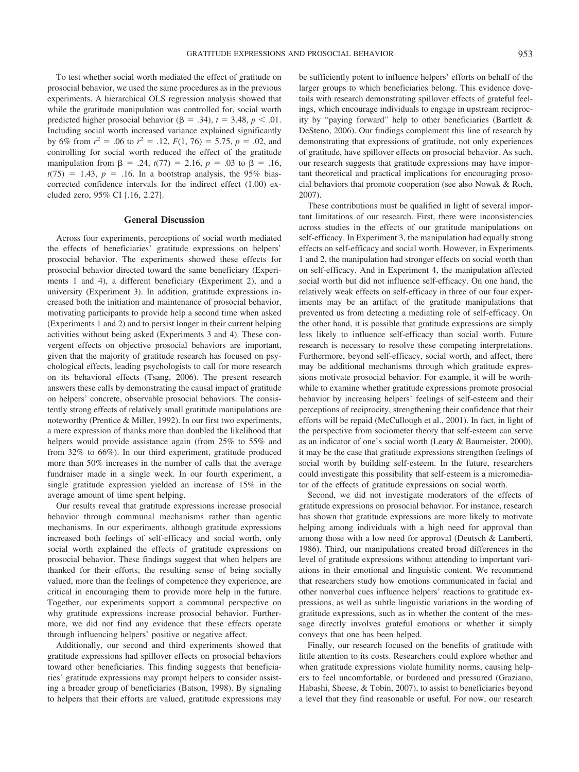To test whether social worth mediated the effect of gratitude on prosocial behavior, we used the same procedures as in the previous experiments. A hierarchical OLS regression analysis showed that while the gratitude manipulation was controlled for, social worth predicted higher prosocial behavior ( $\beta = .34$ ),  $t = 3.48$ ,  $p < .01$ . Including social worth increased variance explained significantly by 6% from  $r^2 = .06$  to  $r^2 = .12$ ,  $F(1, 76) = 5.75$ ,  $p = .02$ , and controlling for social worth reduced the effect of the gratitude manipulation from  $\beta$  = .24,  $t(77)$  = 2.16,  $p$  = .03 to  $\beta$  = .16,  $t(75) = 1.43$ ,  $p = .16$ . In a bootstrap analysis, the 95% biascorrected confidence intervals for the indirect effect (1.00) excluded zero, 95% CI [.16, 2.27].

#### **General Discussion**

Across four experiments, perceptions of social worth mediated the effects of beneficiaries' gratitude expressions on helpers' prosocial behavior. The experiments showed these effects for prosocial behavior directed toward the same beneficiary (Experiments 1 and 4), a different beneficiary (Experiment 2), and a university (Experiment 3). In addition, gratitude expressions increased both the initiation and maintenance of prosocial behavior, motivating participants to provide help a second time when asked (Experiments 1 and 2) and to persist longer in their current helping activities without being asked (Experiments 3 and 4). These convergent effects on objective prosocial behaviors are important, given that the majority of gratitude research has focused on psychological effects, leading psychologists to call for more research on its behavioral effects (Tsang, 2006). The present research answers these calls by demonstrating the causal impact of gratitude on helpers' concrete, observable prosocial behaviors. The consistently strong effects of relatively small gratitude manipulations are noteworthy (Prentice & Miller, 1992). In our first two experiments, a mere expression of thanks more than doubled the likelihood that helpers would provide assistance again (from 25% to 55% and from 32% to 66%). In our third experiment, gratitude produced more than 50% increases in the number of calls that the average fundraiser made in a single week. In our fourth experiment, a single gratitude expression yielded an increase of 15% in the average amount of time spent helping.

Our results reveal that gratitude expressions increase prosocial behavior through communal mechanisms rather than agentic mechanisms. In our experiments, although gratitude expressions increased both feelings of self-efficacy and social worth, only social worth explained the effects of gratitude expressions on prosocial behavior. These findings suggest that when helpers are thanked for their efforts, the resulting sense of being socially valued, more than the feelings of competence they experience, are critical in encouraging them to provide more help in the future. Together, our experiments support a communal perspective on why gratitude expressions increase prosocial behavior. Furthermore, we did not find any evidence that these effects operate through influencing helpers' positive or negative affect.

Additionally, our second and third experiments showed that gratitude expressions had spillover effects on prosocial behaviors toward other beneficiaries. This finding suggests that beneficiaries' gratitude expressions may prompt helpers to consider assisting a broader group of beneficiaries (Batson, 1998). By signaling to helpers that their efforts are valued, gratitude expressions may be sufficiently potent to influence helpers' efforts on behalf of the larger groups to which beneficiaries belong. This evidence dovetails with research demonstrating spillover effects of grateful feelings, which encourage individuals to engage in upstream reciprocity by "paying forward" help to other beneficiaries (Bartlett & DeSteno, 2006). Our findings complement this line of research by demonstrating that expressions of gratitude, not only experiences of gratitude, have spillover effects on prosocial behavior. As such, our research suggests that gratitude expressions may have important theoretical and practical implications for encouraging prosocial behaviors that promote cooperation (see also Nowak & Roch, 2007).

These contributions must be qualified in light of several important limitations of our research. First, there were inconsistencies across studies in the effects of our gratitude manipulations on self-efficacy. In Experiment 3, the manipulation had equally strong effects on self-efficacy and social worth. However, in Experiments 1 and 2, the manipulation had stronger effects on social worth than on self-efficacy. And in Experiment 4, the manipulation affected social worth but did not influence self-efficacy. On one hand, the relatively weak effects on self-efficacy in three of our four experiments may be an artifact of the gratitude manipulations that prevented us from detecting a mediating role of self-efficacy. On the other hand, it is possible that gratitude expressions are simply less likely to influence self-efficacy than social worth. Future research is necessary to resolve these competing interpretations. Furthermore, beyond self-efficacy, social worth, and affect, there may be additional mechanisms through which gratitude expressions motivate prosocial behavior. For example, it will be worthwhile to examine whether gratitude expressions promote prosocial behavior by increasing helpers' feelings of self-esteem and their perceptions of reciprocity, strengthening their confidence that their efforts will be repaid (McCullough et al., 2001). In fact, in light of the perspective from sociometer theory that self-esteem can serve as an indicator of one's social worth (Leary & Baumeister, 2000), it may be the case that gratitude expressions strengthen feelings of social worth by building self-esteem. In the future, researchers could investigate this possibility that self-esteem is a micromediator of the effects of gratitude expressions on social worth.

Second, we did not investigate moderators of the effects of gratitude expressions on prosocial behavior. For instance, research has shown that gratitude expressions are more likely to motivate helping among individuals with a high need for approval than among those with a low need for approval (Deutsch & Lamberti, 1986). Third, our manipulations created broad differences in the level of gratitude expressions without attending to important variations in their emotional and linguistic content. We recommend that researchers study how emotions communicated in facial and other nonverbal cues influence helpers' reactions to gratitude expressions, as well as subtle linguistic variations in the wording of gratitude expressions, such as in whether the content of the message directly involves grateful emotions or whether it simply conveys that one has been helped.

Finally, our research focused on the benefits of gratitude with little attention to its costs. Researchers could explore whether and when gratitude expressions violate humility norms, causing helpers to feel uncomfortable, or burdened and pressured (Graziano, Habashi, Sheese, & Tobin, 2007), to assist to beneficiaries beyond a level that they find reasonable or useful. For now, our research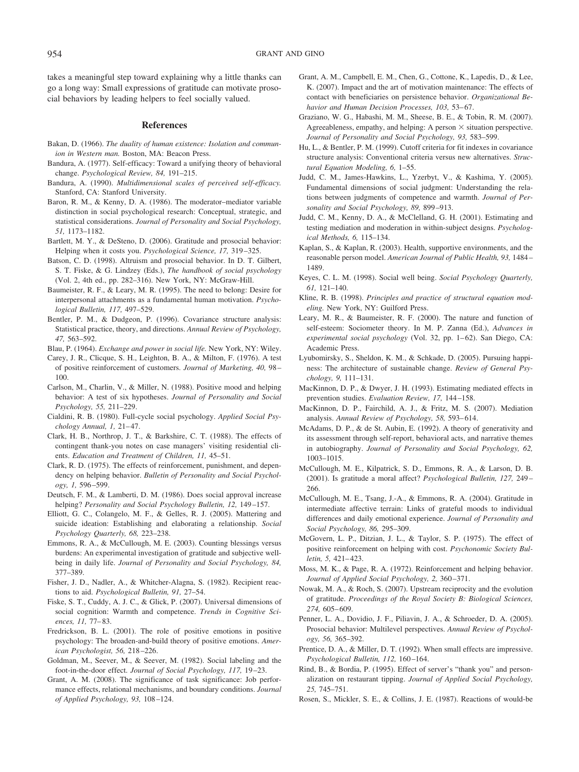954 GRANT AND GINO

takes a meaningful step toward explaining why a little thanks can go a long way: Small expressions of gratitude can motivate prosocial behaviors by leading helpers to feel socially valued.

#### **References**

- Bakan, D. (1966). *The duality of human existence: Isolation and communion in Western man.* Boston, MA: Beacon Press.
- Bandura, A. (1977). Self-efficacy: Toward a unifying theory of behavioral change. *Psychological Review, 84,* 191–215.
- Bandura, A. (1990). *Multidimensional scales of perceived self-efficacy.* Stanford, CA: Stanford University.
- Baron, R. M., & Kenny, D. A. (1986). The moderator–mediator variable distinction in social psychological research: Conceptual, strategic, and statistical considerations. *Journal of Personality and Social Psychology, 51,* 1173–1182.
- Bartlett, M. Y., & DeSteno, D. (2006). Gratitude and prosocial behavior: Helping when it costs you. *Psychological Science, 17,* 319 –325.
- Batson, C. D. (1998). Altruism and prosocial behavior. In D. T. Gilbert, S. T. Fiske, & G. Lindzey (Eds.), *The handbook of social psychology* (Vol. 2, 4th ed., pp. 282–316). New York, NY: McGraw-Hill.
- Baumeister, R. F., & Leary, M. R. (1995). The need to belong: Desire for interpersonal attachments as a fundamental human motivation. *Psychological Bulletin, 117,* 497–529.
- Bentler, P. M., & Dudgeon, P. (1996). Covariance structure analysis: Statistical practice, theory, and directions. *Annual Review of Psychology, 47,* 563–592.

Blau, P. (1964). *Exchange and power in social life.* New York, NY: Wiley.

- Carey, J. R., Clicque, S. H., Leighton, B. A., & Milton, F. (1976). A test of positive reinforcement of customers. *Journal of Marketing, 40,* 98 – 100.
- Carlson, M., Charlin, V., & Miller, N. (1988). Positive mood and helping behavior: A test of six hypotheses. *Journal of Personality and Social Psychology, 55,* 211–229.
- Cialdini, R. B. (1980). Full-cycle social psychology. *Applied Social Psychology Annual, 1,* 21– 47.
- Clark, H. B., Northrop, J. T., & Barkshire, C. T. (1988). The effects of contingent thank-you notes on case managers' visiting residential clients. *Education and Treatment of Children, 11,* 45–51.
- Clark, R. D. (1975). The effects of reinforcement, punishment, and dependency on helping behavior. *Bulletin of Personality and Social Psychology, 1,* 596 –599.
- Deutsch, F. M., & Lamberti, D. M. (1986). Does social approval increase helping? *Personality and Social Psychology Bulletin, 12,* 149 –157.
- Elliott, G. C., Colangelo, M. F., & Gelles, R. J. (2005). Mattering and suicide ideation: Establishing and elaborating a relationship. *Social Psychology Quarterly, 68,* 223–238.
- Emmons, R. A., & McCullough, M. E. (2003). Counting blessings versus burdens: An experimental investigation of gratitude and subjective wellbeing in daily life. *Journal of Personality and Social Psychology, 84,* 377–389.
- Fisher, J. D., Nadler, A., & Whitcher-Alagna, S. (1982). Recipient reactions to aid. *Psychological Bulletin, 91,* 27–54.
- Fiske, S. T., Cuddy, A. J. C., & Glick, P. (2007). Universal dimensions of social cognition: Warmth and competence. *Trends in Cognitive Sciences, 11,* 77– 83.
- Fredrickson, B. L. (2001). The role of positive emotions in positive psychology: The broaden-and-build theory of positive emotions. *American Psychologist, 56,* 218 –226.
- Goldman, M., Seever, M., & Seever, M. (1982). Social labeling and the foot-in-the-door effect. *Journal of Social Psychology, 117,* 19 –23.
- Grant, A. M. (2008). The significance of task significance: Job performance effects, relational mechanisms, and boundary conditions. *Journal of Applied Psychology, 93,* 108 –124.
- Grant, A. M., Campbell, E. M., Chen, G., Cottone, K., Lapedis, D., & Lee, K. (2007). Impact and the art of motivation maintenance: The effects of contact with beneficiaries on persistence behavior. *Organizational Behavior and Human Decision Processes, 103,* 53– 67.
- Graziano, W. G., Habashi, M. M., Sheese, B. E., & Tobin, R. M. (2007). Agreeableness, empathy, and helping: A person  $\times$  situation perspective. *Journal of Personality and Social Psychology, 93,* 583–599.
- Hu, L., & Bentler, P. M. (1999). Cutoff criteria for fit indexes in covariance structure analysis: Conventional criteria versus new alternatives. *Structural Equation Modeling, 6,* 1–55.
- Judd, C. M., James-Hawkins, L., Yzerbyt, V., & Kashima, Y. (2005). Fundamental dimensions of social judgment: Understanding the relations between judgments of competence and warmth. *Journal of Personality and Social Psychology, 89,* 899 –913.
- Judd, C. M., Kenny, D. A., & McClelland, G. H. (2001). Estimating and testing mediation and moderation in within-subject designs. *Psychological Methods, 6,* 115–134.
- Kaplan, S., & Kaplan, R. (2003). Health, supportive environments, and the reasonable person model. *American Journal of Public Health, 93,* 1484 – 1489.
- Keyes, C. L. M. (1998). Social well being. *Social Psychology Quarterly, 61,* 121–140.
- Kline, R. B. (1998). *Principles and practice of structural equation modeling.* New York, NY: Guilford Press.
- Leary, M. R., & Baumeister, R. F. (2000). The nature and function of self-esteem: Sociometer theory. In M. P. Zanna (Ed.), *Advances in* experimental social psychology (Vol. 32, pp. 1-62). San Diego, CA: Academic Press.
- Lyubomirsky, S., Sheldon, K. M., & Schkade, D. (2005). Pursuing happiness: The architecture of sustainable change. *Review of General Psychology, 9,* 111–131.
- MacKinnon, D. P., & Dwyer, J. H. (1993). Estimating mediated effects in prevention studies. *Evaluation Review, 17,* 144 –158.
- MacKinnon, D. P., Fairchild, A. J., & Fritz, M. S. (2007). Mediation analysis. *Annual Review of Psychology, 58,* 593– 614.
- McAdams, D. P., & de St. Aubin, E. (1992). A theory of generativity and its assessment through self-report, behavioral acts, and narrative themes in autobiography. *Journal of Personality and Social Psychology, 62,* 1003–1015.
- McCullough, M. E., Kilpatrick, S. D., Emmons, R. A., & Larson, D. B. (2001). Is gratitude a moral affect? *Psychological Bulletin, 127,* 249 – 266.
- McCullough, M. E., Tsang, J.-A., & Emmons, R. A. (2004). Gratitude in intermediate affective terrain: Links of grateful moods to individual differences and daily emotional experience. *Journal of Personality and Social Psychology, 86,* 295–309.
- McGovern, L. P., Ditzian, J. L., & Taylor, S. P. (1975). The effect of positive reinforcement on helping with cost. *Psychonomic Society Bulletin, 5,* 421– 423.
- Moss, M. K., & Page, R. A. (1972). Reinforcement and helping behavior. *Journal of Applied Social Psychology, 2,* 360 –371.
- Nowak, M. A., & Roch, S. (2007). Upstream reciprocity and the evolution of gratitude. *Proceedings of the Royal Society B: Biological Sciences, 274,* 605– 609.
- Penner, L. A., Dovidio, J. F., Piliavin, J. A., & Schroeder, D. A. (2005). Prosocial behavior: Multilevel perspectives. *Annual Review of Psychology, 56,* 365–392.
- Prentice, D. A., & Miller, D. T. (1992). When small effects are impressive. *Psychological Bulletin, 112,* 160 –164.
- Rind, B., & Bordia, P. (1995). Effect of server's "thank you" and personalization on restaurant tipping. *Journal of Applied Social Psychology, 25,* 745–751.
- Rosen, S., Mickler, S. E., & Collins, J. E. (1987). Reactions of would-be